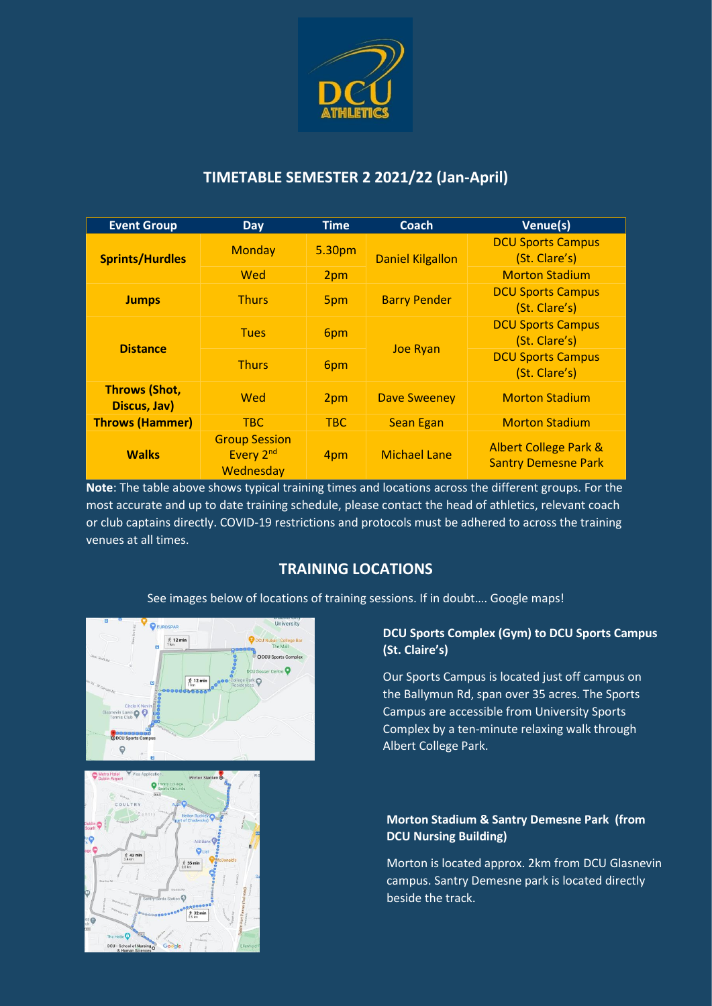

## **TIMETABLE SEMESTER 2 2021/22 (Jan-April)**

| <b>Event Group</b>                   | <b>Day</b>                                                 | Time       | Coach                   | Venue(s)                                                       |
|--------------------------------------|------------------------------------------------------------|------------|-------------------------|----------------------------------------------------------------|
| <b>Sprints/Hurdles</b>               | <b>Monday</b>                                              | 5.30pm     | <b>Daniel Kilgallon</b> | <b>DCU Sports Campus</b><br>(St. Clare's)                      |
|                                      | Wed                                                        | 2pm        |                         | <b>Morton Stadium</b>                                          |
| <b>Jumps</b>                         | <b>Thurs</b>                                               | 5pm        | <b>Barry Pender</b>     | <b>DCU Sports Campus</b><br>(St. Clare's)                      |
| <b>Distance</b>                      | <b>Tues</b>                                                | 6pm        | <b>Joe Ryan</b>         | <b>DCU Sports Campus</b><br>(St. Clare's)                      |
|                                      | <b>Thurs</b>                                               | 6pm        |                         | <b>DCU Sports Campus</b><br>(St. Clare's)                      |
| <b>Throws (Shot,</b><br>Discus, Jav) | Wed                                                        | 2pm        | <b>Dave Sweeney</b>     | <b>Morton Stadium</b>                                          |
| <b>Throws (Hammer)</b>               | <b>TBC</b>                                                 | <b>TBC</b> | <b>Sean Egan</b>        | <b>Morton Stadium</b>                                          |
| <b>Walks</b>                         | <b>Group Session</b><br>Every 2 <sup>nd</sup><br>Wednesday | 4pm        | <b>Michael Lane</b>     | <b>Albert College Park &amp;</b><br><b>Santry Demesne Park</b> |

**Note**: The table above shows typical training times and locations across the different groups. For the most accurate and up to date training schedule, please contact the head of athletics, relevant coach or club captains directly. COVID-19 restrictions and protocols must be adhered to across the training venues at all times.

# **TRAINING LOCATIONS**

See images below of locations of training sessions. If in doubt…. Google maps!





#### **DCU Sports Complex (Gym) to DCU Sports Campus (St. Claire's)**

Our Sports Campus is located just off campus on the Ballymun Rd, span over 35 acres. The Sports Campus are accessible from University Sports Complex by a ten-minute relaxing walk through Albert College Park.

#### **Morton Stadium & Santry Demesne Park (from DCU Nursing Building)**

Morton is located approx. 2km from DCU Glasnevin campus. Santry Demesne park is located directly beside the track.